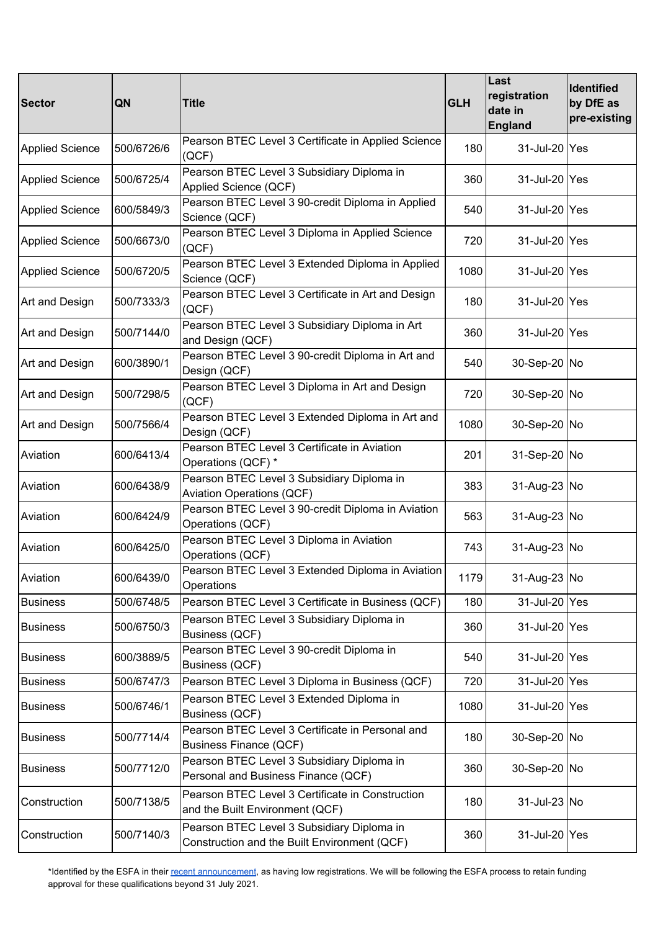| <b>Sector</b>          | QN         | <b>Title</b>                                                                               | <b>GLH</b> | Last<br>registration<br>date in<br><b>England</b> | Identified<br>by DfE as<br>pre-existing |
|------------------------|------------|--------------------------------------------------------------------------------------------|------------|---------------------------------------------------|-----------------------------------------|
| <b>Applied Science</b> | 500/6726/6 | Pearson BTEC Level 3 Certificate in Applied Science<br>(QCF)                               | 180        | 31-Jul-20 Yes                                     |                                         |
| <b>Applied Science</b> | 500/6725/4 | Pearson BTEC Level 3 Subsidiary Diploma in<br>Applied Science (QCF)                        | 360        | 31-Jul-20 Yes                                     |                                         |
| <b>Applied Science</b> | 600/5849/3 | Pearson BTEC Level 3 90-credit Diploma in Applied<br>Science (QCF)                         | 540        | 31-Jul-20 Yes                                     |                                         |
| <b>Applied Science</b> | 500/6673/0 | Pearson BTEC Level 3 Diploma in Applied Science<br>(QCF)                                   | 720        | 31-Jul-20 Yes                                     |                                         |
| <b>Applied Science</b> | 500/6720/5 | Pearson BTEC Level 3 Extended Diploma in Applied<br>Science (QCF)                          | 1080       | 31-Jul-20 Yes                                     |                                         |
| Art and Design         | 500/7333/3 | Pearson BTEC Level 3 Certificate in Art and Design<br>(QCF)                                | 180        | 31-Jul-20 Yes                                     |                                         |
| Art and Design         | 500/7144/0 | Pearson BTEC Level 3 Subsidiary Diploma in Art<br>and Design (QCF)                         | 360        | 31-Jul-20 Yes                                     |                                         |
| Art and Design         | 600/3890/1 | Pearson BTEC Level 3 90-credit Diploma in Art and<br>Design (QCF)                          | 540        | 30-Sep-20 No                                      |                                         |
| Art and Design         | 500/7298/5 | Pearson BTEC Level 3 Diploma in Art and Design<br>(QCF)                                    | 720        | 30-Sep-20 No                                      |                                         |
| Art and Design         | 500/7566/4 | Pearson BTEC Level 3 Extended Diploma in Art and<br>Design (QCF)                           | 1080       | 30-Sep-20 No                                      |                                         |
| Aviation               | 600/6413/4 | Pearson BTEC Level 3 Certificate in Aviation<br>Operations (QCF) *                         | 201        | 31-Sep-20 No                                      |                                         |
| Aviation               | 600/6438/9 | Pearson BTEC Level 3 Subsidiary Diploma in<br><b>Aviation Operations (QCF)</b>             | 383        | 31-Aug-23 No                                      |                                         |
| Aviation               | 600/6424/9 | Pearson BTEC Level 3 90-credit Diploma in Aviation<br>Operations (QCF)                     | 563        | 31-Aug-23 No                                      |                                         |
| Aviation               | 600/6425/0 | Pearson BTEC Level 3 Diploma in Aviation<br>Operations (QCF)                               | 743        | 31-Aug-23 No                                      |                                         |
| Aviation               | 600/6439/0 | Pearson BTEC Level 3 Extended Diploma in Aviation<br>Operations                            | 1179       | 31-Aug-23 No                                      |                                         |
| <b>Business</b>        | 500/6748/5 | Pearson BTEC Level 3 Certificate in Business (QCF)                                         | 180        | 31-Jul-20 Yes                                     |                                         |
| <b>Business</b>        | 500/6750/3 | Pearson BTEC Level 3 Subsidiary Diploma in<br>Business (QCF)                               | 360        | 31-Jul-20 Yes                                     |                                         |
| <b>Business</b>        | 600/3889/5 | Pearson BTEC Level 3 90-credit Diploma in<br>Business (QCF)                                | 540        | 31-Jul-20 Yes                                     |                                         |
| <b>Business</b>        | 500/6747/3 | Pearson BTEC Level 3 Diploma in Business (QCF)                                             | 720        | 31-Jul-20 Yes                                     |                                         |
| <b>Business</b>        | 500/6746/1 | Pearson BTEC Level 3 Extended Diploma in<br>Business (QCF)                                 | 1080       | 31-Jul-20 Yes                                     |                                         |
| <b>Business</b>        | 500/7714/4 | Pearson BTEC Level 3 Certificate in Personal and<br>Business Finance (QCF)                 | 180        | 30-Sep-20 No                                      |                                         |
| <b>Business</b>        | 500/7712/0 | Pearson BTEC Level 3 Subsidiary Diploma in<br>Personal and Business Finance (QCF)          | 360        | 30-Sep-20 No                                      |                                         |
| Construction           | 500/7138/5 | Pearson BTEC Level 3 Certificate in Construction<br>and the Built Environment (QCF)        | 180        | 31-Jul-23 No                                      |                                         |
| Construction           | 500/7140/3 | Pearson BTEC Level 3 Subsidiary Diploma in<br>Construction and the Built Environment (QCF) | 360        | 31-Jul-20 Yes                                     |                                         |

\*Identified by the ESFA in their recent [announcement](https://www.gov.uk/government/publications/withdrawal-of-funding-approval-from-qualifications-with-low-and-no-publicly-funded-enrolments), as having low registrations. We will be following the ESFA process to retain funding approval for these qualifications beyond 31 July 2021.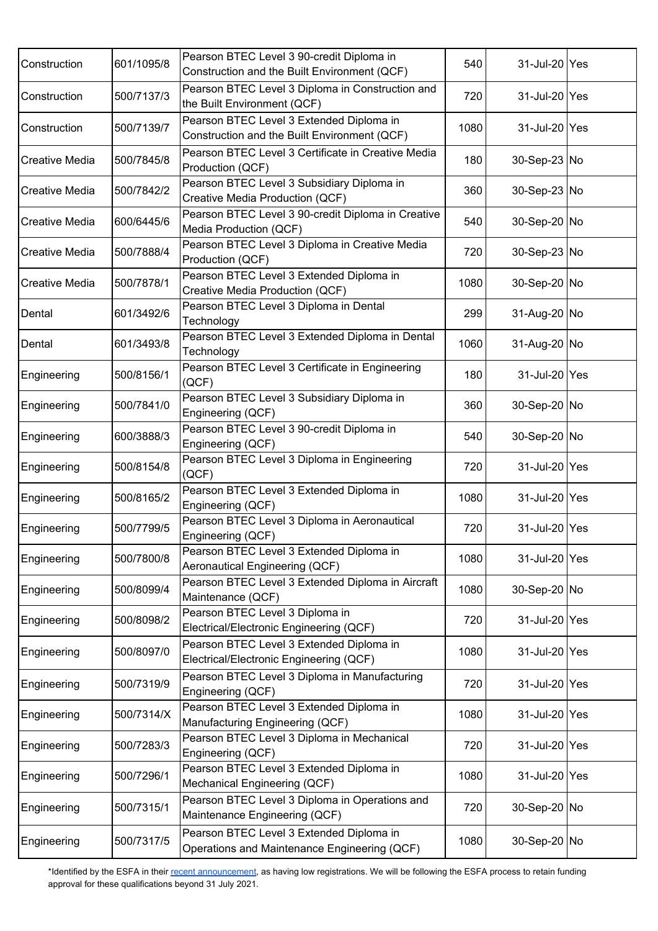| Construction          | 601/1095/8 | Pearson BTEC Level 3 90-credit Diploma in<br>Construction and the Built Environment (QCF) | 540  | 31-Jul-20 Yes |  |
|-----------------------|------------|-------------------------------------------------------------------------------------------|------|---------------|--|
| Construction          | 500/7137/3 | Pearson BTEC Level 3 Diploma in Construction and<br>the Built Environment (QCF)           | 720  | 31-Jul-20 Yes |  |
| Construction          | 500/7139/7 | Pearson BTEC Level 3 Extended Diploma in<br>Construction and the Built Environment (QCF)  | 1080 | 31-Jul-20 Yes |  |
| Creative Media        | 500/7845/8 | Pearson BTEC Level 3 Certificate in Creative Media<br>Production (QCF)                    | 180  | 30-Sep-23 No  |  |
| <b>Creative Media</b> | 500/7842/2 | Pearson BTEC Level 3 Subsidiary Diploma in<br>Creative Media Production (QCF)             | 360  | 30-Sep-23 No  |  |
| <b>Creative Media</b> | 600/6445/6 | Pearson BTEC Level 3 90-credit Diploma in Creative<br>Media Production (QCF)              | 540  | 30-Sep-20 No  |  |
| <b>Creative Media</b> | 500/7888/4 | Pearson BTEC Level 3 Diploma in Creative Media<br>Production (QCF)                        | 720  | 30-Sep-23 No  |  |
| <b>Creative Media</b> | 500/7878/1 | Pearson BTEC Level 3 Extended Diploma in<br>Creative Media Production (QCF)               | 1080 | 30-Sep-20 No  |  |
| Dental                | 601/3492/6 | Pearson BTEC Level 3 Diploma in Dental<br>Technology                                      | 299  | 31-Aug-20 No  |  |
| Dental                | 601/3493/8 | Pearson BTEC Level 3 Extended Diploma in Dental<br>Technology                             | 1060 | 31-Aug-20 No  |  |
| Engineering           | 500/8156/1 | Pearson BTEC Level 3 Certificate in Engineering<br>(QCF)                                  | 180  | 31-Jul-20 Yes |  |
| Engineering           | 500/7841/0 | Pearson BTEC Level 3 Subsidiary Diploma in<br>Engineering (QCF)                           | 360  | 30-Sep-20 No  |  |
| Engineering           | 600/3888/3 | Pearson BTEC Level 3 90-credit Diploma in<br>Engineering (QCF)                            | 540  | 30-Sep-20 No  |  |
| Engineering           | 500/8154/8 | Pearson BTEC Level 3 Diploma in Engineering<br>(QCF)                                      | 720  | 31-Jul-20 Yes |  |
| Engineering           | 500/8165/2 | Pearson BTEC Level 3 Extended Diploma in<br>Engineering (QCF)                             | 1080 | 31-Jul-20 Yes |  |
| Engineering           | 500/7799/5 | Pearson BTEC Level 3 Diploma in Aeronautical<br>Engineering (QCF)                         | 720  | 31-Jul-20 Yes |  |
| Engineering           | 500/7800/8 | Pearson BTEC Level 3 Extended Diploma in<br>Aeronautical Engineering (QCF)                | 1080 | 31-Jul-20 Yes |  |
| Engineering           | 500/8099/4 | Pearson BTEC Level 3 Extended Diploma in Aircraft<br>Maintenance (QCF)                    | 1080 | 30-Sep-20 No  |  |
| Engineering           | 500/8098/2 | Pearson BTEC Level 3 Diploma in<br>Electrical/Electronic Engineering (QCF)                | 720  | 31-Jul-20 Yes |  |
| Engineering           | 500/8097/0 | Pearson BTEC Level 3 Extended Diploma in<br>Electrical/Electronic Engineering (QCF)       | 1080 | 31-Jul-20 Yes |  |
| Engineering           | 500/7319/9 | Pearson BTEC Level 3 Diploma in Manufacturing<br>Engineering (QCF)                        | 720  | 31-Jul-20 Yes |  |
| Engineering           | 500/7314/X | Pearson BTEC Level 3 Extended Diploma in<br>Manufacturing Engineering (QCF)               | 1080 | 31-Jul-20 Yes |  |
| Engineering           | 500/7283/3 | Pearson BTEC Level 3 Diploma in Mechanical<br>Engineering (QCF)                           | 720  | 31-Jul-20 Yes |  |
| Engineering           | 500/7296/1 | Pearson BTEC Level 3 Extended Diploma in<br>Mechanical Engineering (QCF)                  | 1080 | 31-Jul-20 Yes |  |
| Engineering           | 500/7315/1 | Pearson BTEC Level 3 Diploma in Operations and<br>Maintenance Engineering (QCF)           | 720  | 30-Sep-20 No  |  |
| Engineering           | 500/7317/5 | Pearson BTEC Level 3 Extended Diploma in<br>Operations and Maintenance Engineering (QCF)  | 1080 | 30-Sep-20 No  |  |

\*Identified by the ESFA in their recent [announcement](https://www.gov.uk/government/publications/withdrawal-of-funding-approval-from-qualifications-with-low-and-no-publicly-funded-enrolments), as having low registrations. We will be following the ESFA process to retain funding approval for these qualifications beyond 31 July 2021.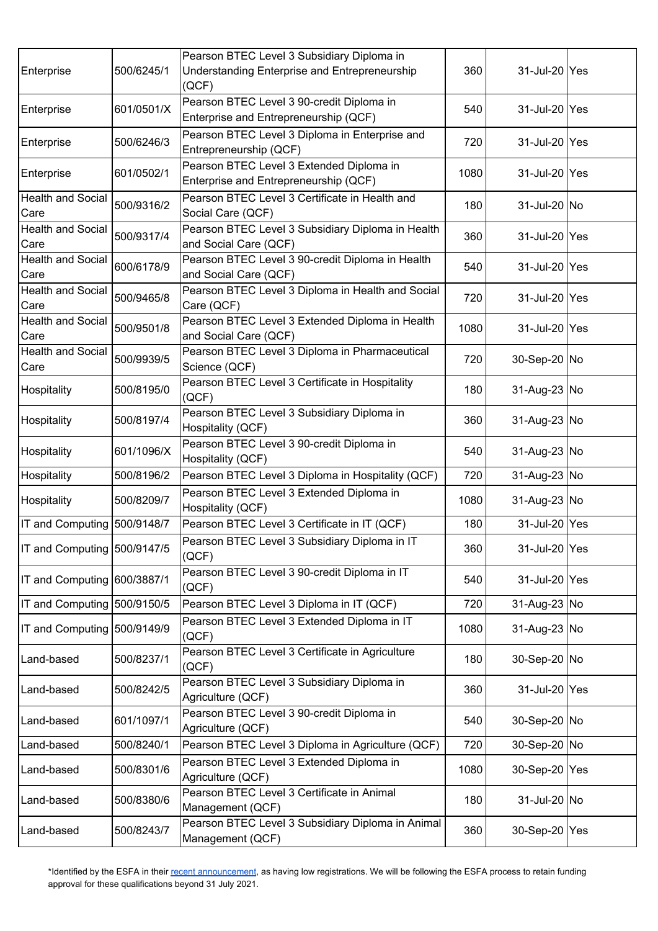| Enterprise                       | 500/6245/1 | Pearson BTEC Level 3 Subsidiary Diploma in<br>Understanding Enterprise and Entrepreneurship<br>(QCF) | 360  | 31-Jul-20 Yes |  |
|----------------------------------|------------|------------------------------------------------------------------------------------------------------|------|---------------|--|
| Enterprise                       | 601/0501/X | Pearson BTEC Level 3 90-credit Diploma in<br>Enterprise and Entrepreneurship (QCF)                   | 540  | 31-Jul-20 Yes |  |
| Enterprise                       | 500/6246/3 | Pearson BTEC Level 3 Diploma in Enterprise and<br>Entrepreneurship (QCF)                             | 720  | 31-Jul-20 Yes |  |
| Enterprise                       | 601/0502/1 | Pearson BTEC Level 3 Extended Diploma in<br>Enterprise and Entrepreneurship (QCF)                    | 1080 | 31-Jul-20 Yes |  |
| <b>Health and Social</b><br>Care | 500/9316/2 | Pearson BTEC Level 3 Certificate in Health and<br>Social Care (QCF)                                  | 180  | 31-Jul-20 No  |  |
| <b>Health and Social</b><br>Care | 500/9317/4 | Pearson BTEC Level 3 Subsidiary Diploma in Health<br>and Social Care (QCF)                           | 360  | 31-Jul-20 Yes |  |
| <b>Health and Social</b><br>Care | 600/6178/9 | Pearson BTEC Level 3 90-credit Diploma in Health<br>and Social Care (QCF)                            | 540  | 31-Jul-20 Yes |  |
| Health and Social<br>Care        | 500/9465/8 | Pearson BTEC Level 3 Diploma in Health and Social<br>Care (QCF)                                      | 720  | 31-Jul-20 Yes |  |
| <b>Health and Social</b><br>Care | 500/9501/8 | Pearson BTEC Level 3 Extended Diploma in Health<br>and Social Care (QCF)                             | 1080 | 31-Jul-20 Yes |  |
| <b>Health and Social</b><br>Care | 500/9939/5 | Pearson BTEC Level 3 Diploma in Pharmaceutical<br>Science (QCF)                                      | 720  | 30-Sep-20 No  |  |
| Hospitality                      | 500/8195/0 | Pearson BTEC Level 3 Certificate in Hospitality<br>(QCF)                                             | 180  | 31-Aug-23 No  |  |
| Hospitality                      | 500/8197/4 | Pearson BTEC Level 3 Subsidiary Diploma in<br>Hospitality (QCF)                                      | 360  | 31-Aug-23 No  |  |
| Hospitality                      | 601/1096/X | Pearson BTEC Level 3 90-credit Diploma in<br>Hospitality (QCF)                                       | 540  | 31-Aug-23 No  |  |
| Hospitality                      | 500/8196/2 | Pearson BTEC Level 3 Diploma in Hospitality (QCF)                                                    | 720  | 31-Aug-23 No  |  |
| Hospitality                      | 500/8209/7 | Pearson BTEC Level 3 Extended Diploma in<br>Hospitality (QCF)                                        | 1080 | 31-Aug-23 No  |  |
| IT and Computing                 | 500/9148/7 | Pearson BTEC Level 3 Certificate in IT (QCF)                                                         | 180  | 31-Jul-20 Yes |  |
| IT and Computing 500/9147/5      |            | Pearson BTEC Level 3 Subsidiary Diploma in IT<br>(QCF)                                               | 360  | 31-Jul-20 Yes |  |
| IT and Computing 600/3887/1      |            | Pearson BTEC Level 3 90-credit Diploma in IT<br>(QCF)                                                | 540  | 31-Jul-20 Yes |  |
| IT and Computing 500/9150/5      |            | Pearson BTEC Level 3 Diploma in IT (QCF)                                                             | 720  | 31-Aug-23 No  |  |
| IT and Computing 500/9149/9      |            | Pearson BTEC Level 3 Extended Diploma in IT<br>(QCF)                                                 | 1080 | 31-Aug-23 No  |  |
| Land-based                       | 500/8237/1 | Pearson BTEC Level 3 Certificate in Agriculture<br>(QCF)                                             | 180  | 30-Sep-20 No  |  |
| Land-based                       | 500/8242/5 | Pearson BTEC Level 3 Subsidiary Diploma in<br>Agriculture (QCF)                                      | 360  | 31-Jul-20 Yes |  |
| Land-based                       | 601/1097/1 | Pearson BTEC Level 3 90-credit Diploma in<br>Agriculture (QCF)                                       | 540  | 30-Sep-20 No  |  |
| Land-based                       | 500/8240/1 | Pearson BTEC Level 3 Diploma in Agriculture (QCF)                                                    | 720  | 30-Sep-20 No  |  |
| Land-based                       | 500/8301/6 | Pearson BTEC Level 3 Extended Diploma in<br>Agriculture (QCF)                                        | 1080 | 30-Sep-20 Yes |  |
| Land-based                       | 500/8380/6 | Pearson BTEC Level 3 Certificate in Animal<br>Management (QCF)                                       | 180  | 31-Jul-20 No  |  |
| Land-based                       | 500/8243/7 | Pearson BTEC Level 3 Subsidiary Diploma in Animal<br>Management (QCF)                                | 360  | 30-Sep-20 Yes |  |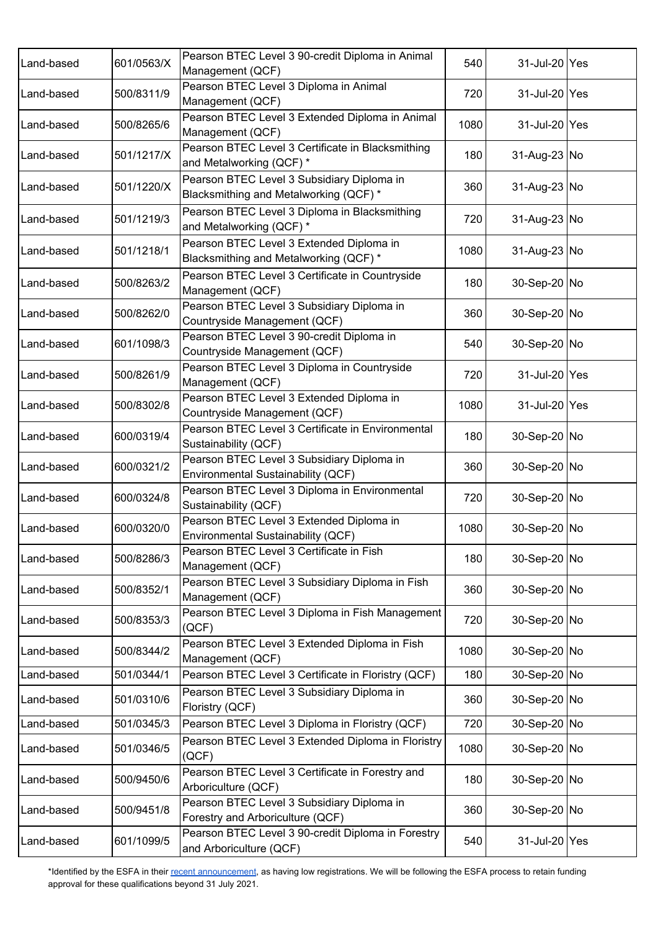| Land-based | 601/0563/X | Pearson BTEC Level 3 90-credit Diploma in Animal<br>Management (QCF)                 | 540  | 31-Jul-20 Yes |  |
|------------|------------|--------------------------------------------------------------------------------------|------|---------------|--|
| Land-based | 500/8311/9 | Pearson BTEC Level 3 Diploma in Animal<br>Management (QCF)                           | 720  | 31-Jul-20 Yes |  |
| Land-based | 500/8265/6 | Pearson BTEC Level 3 Extended Diploma in Animal<br>Management (QCF)                  | 1080 | 31-Jul-20 Yes |  |
| Land-based | 501/1217/X | Pearson BTEC Level 3 Certificate in Blacksmithing<br>and Metalworking (QCF) *        | 180  | 31-Aug-23 No  |  |
| Land-based | 501/1220/X | Pearson BTEC Level 3 Subsidiary Diploma in<br>Blacksmithing and Metalworking (QCF) * | 360  | 31-Aug-23 No  |  |
| Land-based | 501/1219/3 | Pearson BTEC Level 3 Diploma in Blacksmithing<br>and Metalworking (QCF) *            | 720  | 31-Aug-23 No  |  |
| Land-based | 501/1218/1 | Pearson BTEC Level 3 Extended Diploma in<br>Blacksmithing and Metalworking (QCF) *   | 1080 | 31-Aug-23 No  |  |
| Land-based | 500/8263/2 | Pearson BTEC Level 3 Certificate in Countryside<br>Management (QCF)                  | 180  | 30-Sep-20 No  |  |
| Land-based | 500/8262/0 | Pearson BTEC Level 3 Subsidiary Diploma in<br>Countryside Management (QCF)           | 360  | 30-Sep-20 No  |  |
| Land-based | 601/1098/3 | Pearson BTEC Level 3 90-credit Diploma in<br>Countryside Management (QCF)            | 540  | 30-Sep-20 No  |  |
| Land-based | 500/8261/9 | Pearson BTEC Level 3 Diploma in Countryside<br>Management (QCF)                      | 720  | 31-Jul-20 Yes |  |
| Land-based | 500/8302/8 | Pearson BTEC Level 3 Extended Diploma in<br>Countryside Management (QCF)             | 1080 | 31-Jul-20 Yes |  |
| Land-based | 600/0319/4 | Pearson BTEC Level 3 Certificate in Environmental<br>Sustainability (QCF)            | 180  | 30-Sep-20 No  |  |
| Land-based | 600/0321/2 | Pearson BTEC Level 3 Subsidiary Diploma in<br>Environmental Sustainability (QCF)     | 360  | 30-Sep-20 No  |  |
| Land-based | 600/0324/8 | Pearson BTEC Level 3 Diploma in Environmental<br>Sustainability (QCF)                | 720  | 30-Sep-20 No  |  |
| Land-based | 600/0320/0 | Pearson BTEC Level 3 Extended Diploma in<br>Environmental Sustainability (QCF)       | 1080 | 30-Sep-20 No  |  |
| Land-based | 500/8286/3 | Pearson BTEC Level 3 Certificate in Fish<br>Management (QCF)                         | 180  | 30-Sep-20 No  |  |
| Land-based | 500/8352/1 | Pearson BTEC Level 3 Subsidiary Diploma in Fish<br>Management (QCF)                  | 360  | 30-Sep-20 No  |  |
| Land-based | 500/8353/3 | Pearson BTEC Level 3 Diploma in Fish Management<br>(QCF)                             | 720  | 30-Sep-20 No  |  |
| Land-based | 500/8344/2 | Pearson BTEC Level 3 Extended Diploma in Fish<br>Management (QCF)                    | 1080 | 30-Sep-20 No  |  |
| Land-based | 501/0344/1 | Pearson BTEC Level 3 Certificate in Floristry (QCF)                                  | 180  | 30-Sep-20 No  |  |
| Land-based | 501/0310/6 | Pearson BTEC Level 3 Subsidiary Diploma in<br>Floristry (QCF)                        | 360  | 30-Sep-20 No  |  |
| Land-based | 501/0345/3 | Pearson BTEC Level 3 Diploma in Floristry (QCF)                                      | 720  | 30-Sep-20 No  |  |
| Land-based | 501/0346/5 | Pearson BTEC Level 3 Extended Diploma in Floristry<br>(QCF)                          | 1080 | 30-Sep-20 No  |  |
| Land-based | 500/9450/6 | Pearson BTEC Level 3 Certificate in Forestry and<br>Arboriculture (QCF)              | 180  | 30-Sep-20 No  |  |
| Land-based | 500/9451/8 | Pearson BTEC Level 3 Subsidiary Diploma in<br>Forestry and Arboriculture (QCF)       | 360  | 30-Sep-20 No  |  |
| Land-based | 601/1099/5 | Pearson BTEC Level 3 90-credit Diploma in Forestry<br>and Arboriculture (QCF)        | 540  | 31-Jul-20 Yes |  |

\*Identified by the ESFA in their recent [announcement](https://www.gov.uk/government/publications/withdrawal-of-funding-approval-from-qualifications-with-low-and-no-publicly-funded-enrolments), as having low registrations. We will be following the ESFA process to retain funding approval for these qualifications beyond 31 July 2021.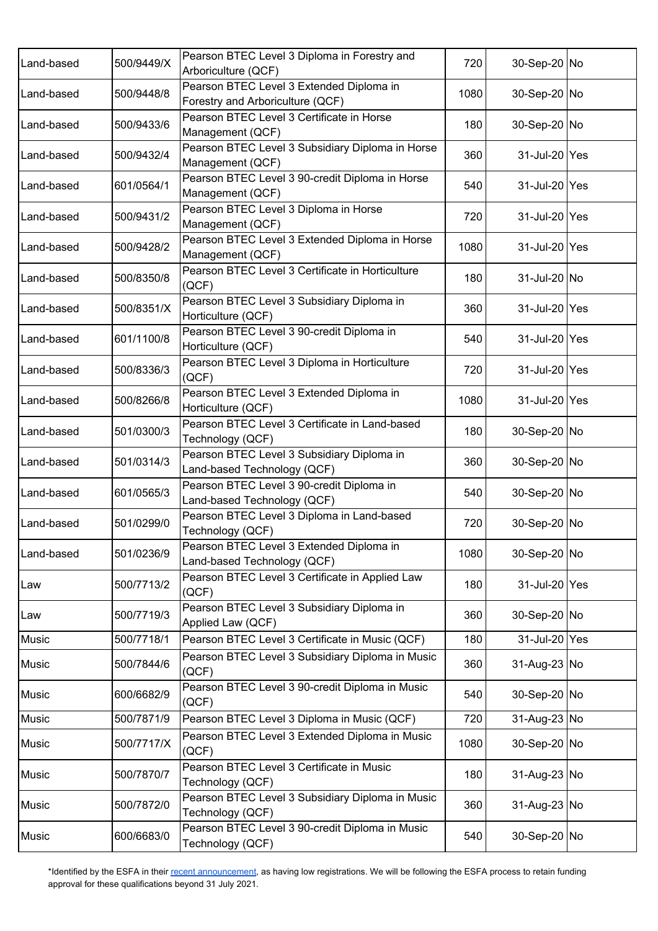| Land-based   | 500/9449/X | Pearson BTEC Level 3 Diploma in Forestry and<br>Arboriculture (QCF)          | 720  | 30-Sep-20 No  |  |
|--------------|------------|------------------------------------------------------------------------------|------|---------------|--|
| Land-based   | 500/9448/8 | Pearson BTEC Level 3 Extended Diploma in<br>Forestry and Arboriculture (QCF) | 1080 | 30-Sep-20 No  |  |
| Land-based   | 500/9433/6 | Pearson BTEC Level 3 Certificate in Horse<br>Management (QCF)                | 180  | 30-Sep-20 No  |  |
| Land-based   | 500/9432/4 | Pearson BTEC Level 3 Subsidiary Diploma in Horse<br>Management (QCF)         | 360  | 31-Jul-20 Yes |  |
| Land-based   | 601/0564/1 | Pearson BTEC Level 3 90-credit Diploma in Horse<br>Management (QCF)          | 540  | 31-Jul-20 Yes |  |
| Land-based   | 500/9431/2 | Pearson BTEC Level 3 Diploma in Horse<br>Management (QCF)                    | 720  | 31-Jul-20 Yes |  |
| Land-based   | 500/9428/2 | Pearson BTEC Level 3 Extended Diploma in Horse<br>Management (QCF)           | 1080 | 31-Jul-20 Yes |  |
| Land-based   | 500/8350/8 | Pearson BTEC Level 3 Certificate in Horticulture<br>(QCF)                    | 180  | 31-Jul-20 No  |  |
| Land-based   | 500/8351/X | Pearson BTEC Level 3 Subsidiary Diploma in<br>Horticulture (QCF)             | 360  | 31-Jul-20 Yes |  |
| Land-based   | 601/1100/8 | Pearson BTEC Level 3 90-credit Diploma in<br>Horticulture (QCF)              | 540  | 31-Jul-20 Yes |  |
| Land-based   | 500/8336/3 | Pearson BTEC Level 3 Diploma in Horticulture<br>(QCF)                        | 720  | 31-Jul-20 Yes |  |
| Land-based   | 500/8266/8 | Pearson BTEC Level 3 Extended Diploma in<br>Horticulture (QCF)               | 1080 | 31-Jul-20 Yes |  |
| Land-based   | 501/0300/3 | Pearson BTEC Level 3 Certificate in Land-based<br>Technology (QCF)           | 180  | 30-Sep-20 No  |  |
| Land-based   | 501/0314/3 | Pearson BTEC Level 3 Subsidiary Diploma in<br>Land-based Technology (QCF)    | 360  | 30-Sep-20 No  |  |
| Land-based   | 601/0565/3 | Pearson BTEC Level 3 90-credit Diploma in<br>Land-based Technology (QCF)     | 540  | 30-Sep-20 No  |  |
| Land-based   | 501/0299/0 | Pearson BTEC Level 3 Diploma in Land-based<br>Technology (QCF)               | 720  | 30-Sep-20 No  |  |
| Land-based   | 501/0236/9 | Pearson BTEC Level 3 Extended Diploma in<br>Land-based Technology (QCF)      | 1080 | 30-Sep-20 No  |  |
| Law          | 500/7713/2 | Pearson BTEC Level 3 Certificate in Applied Law<br>(QCF)                     | 180  | 31-Jul-20 Yes |  |
| Law          | 500/7719/3 | Pearson BTEC Level 3 Subsidiary Diploma in<br>Applied Law (QCF)              | 360  | 30-Sep-20 No  |  |
| Music        | 500/7718/1 | Pearson BTEC Level 3 Certificate in Music (QCF)                              | 180  | 31-Jul-20 Yes |  |
| <b>Music</b> | 500/7844/6 | Pearson BTEC Level 3 Subsidiary Diploma in Music<br>(QCF)                    | 360  | 31-Aug-23 No  |  |
| <b>Music</b> | 600/6682/9 | Pearson BTEC Level 3 90-credit Diploma in Music<br>(QCF)                     | 540  | 30-Sep-20 No  |  |
| Music        | 500/7871/9 | Pearson BTEC Level 3 Diploma in Music (QCF)                                  | 720  | 31-Aug-23 No  |  |
| <b>Music</b> | 500/7717/X | Pearson BTEC Level 3 Extended Diploma in Music<br>(QCF)                      | 1080 | 30-Sep-20 No  |  |
| <b>Music</b> | 500/7870/7 | Pearson BTEC Level 3 Certificate in Music<br>Technology (QCF)                | 180  | 31-Aug-23 No  |  |
| <b>Music</b> | 500/7872/0 | Pearson BTEC Level 3 Subsidiary Diploma in Music<br>Technology (QCF)         | 360  | 31-Aug-23 No  |  |
| <b>Music</b> | 600/6683/0 | Pearson BTEC Level 3 90-credit Diploma in Music<br>Technology (QCF)          | 540  | 30-Sep-20 No  |  |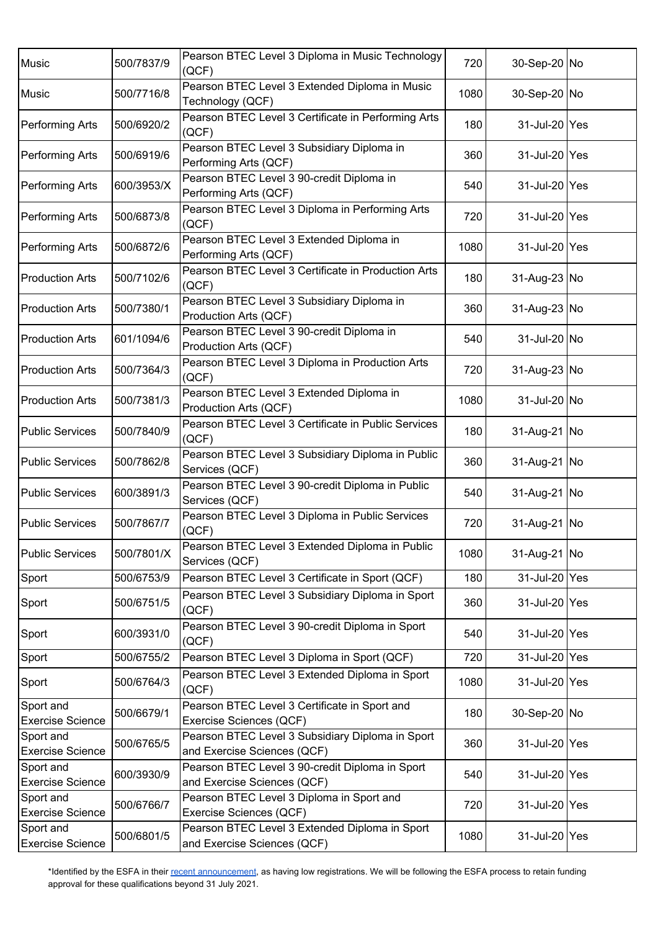| <b>Music</b>                         | 500/7837/9 | Pearson BTEC Level 3 Diploma in Music Technology<br>(QCF)                       | 720  | 30-Sep-20 No  |  |
|--------------------------------------|------------|---------------------------------------------------------------------------------|------|---------------|--|
| <b>Music</b>                         | 500/7716/8 | Pearson BTEC Level 3 Extended Diploma in Music<br>Technology (QCF)              | 1080 | 30-Sep-20 No  |  |
| <b>Performing Arts</b>               | 500/6920/2 | Pearson BTEC Level 3 Certificate in Performing Arts<br>(QCF)                    | 180  | 31-Jul-20 Yes |  |
| <b>Performing Arts</b>               | 500/6919/6 | Pearson BTEC Level 3 Subsidiary Diploma in<br>Performing Arts (QCF)             | 360  | 31-Jul-20 Yes |  |
| <b>Performing Arts</b>               | 600/3953/X | Pearson BTEC Level 3 90-credit Diploma in<br>Performing Arts (QCF)              | 540  | 31-Jul-20 Yes |  |
| <b>Performing Arts</b>               | 500/6873/8 | Pearson BTEC Level 3 Diploma in Performing Arts<br>(QCF)                        | 720  | 31-Jul-20 Yes |  |
| <b>Performing Arts</b>               | 500/6872/6 | Pearson BTEC Level 3 Extended Diploma in<br>Performing Arts (QCF)               | 1080 | 31-Jul-20 Yes |  |
| <b>Production Arts</b>               | 500/7102/6 | Pearson BTEC Level 3 Certificate in Production Arts<br>(QCF)                    | 180  | 31-Aug-23 No  |  |
| <b>Production Arts</b>               | 500/7380/1 | Pearson BTEC Level 3 Subsidiary Diploma in<br>Production Arts (QCF)             | 360  | 31-Aug-23 No  |  |
| <b>Production Arts</b>               | 601/1094/6 | Pearson BTEC Level 3 90-credit Diploma in<br>Production Arts (QCF)              | 540  | 31-Jul-20 No  |  |
| <b>Production Arts</b>               | 500/7364/3 | Pearson BTEC Level 3 Diploma in Production Arts<br>(QCF)                        | 720  | 31-Aug-23 No  |  |
| <b>Production Arts</b>               | 500/7381/3 | Pearson BTEC Level 3 Extended Diploma in<br>Production Arts (QCF)               | 1080 | 31-Jul-20 No  |  |
| <b>Public Services</b>               | 500/7840/9 | Pearson BTEC Level 3 Certificate in Public Services<br>(QCF)                    | 180  | 31-Aug-21 No  |  |
| <b>Public Services</b>               | 500/7862/8 | Pearson BTEC Level 3 Subsidiary Diploma in Public<br>Services (QCF)             | 360  | 31-Aug-21 No  |  |
| <b>Public Services</b>               | 600/3891/3 | Pearson BTEC Level 3 90-credit Diploma in Public<br>Services (QCF)              | 540  | 31-Aug-21 No  |  |
| <b>Public Services</b>               | 500/7867/7 | Pearson BTEC Level 3 Diploma in Public Services<br>(QCF)                        | 720  | 31-Aug-21 No  |  |
| <b>Public Services</b>               | 500/7801/X | Pearson BTEC Level 3 Extended Diploma in Public<br>Services (QCF)               | 1080 | 31-Aug-21 No  |  |
| Sport                                | 500/6753/9 | Pearson BTEC Level 3 Certificate in Sport (QCF)                                 | 180  | 31-Jul-20 Yes |  |
| Sport                                | 500/6751/5 | Pearson BTEC Level 3 Subsidiary Diploma in Sport<br>(QCF)                       | 360  | 31-Jul-20 Yes |  |
| Sport                                | 600/3931/0 | Pearson BTEC Level 3 90-credit Diploma in Sport<br>(QCF)                        | 540  | 31-Jul-20 Yes |  |
| Sport                                | 500/6755/2 | Pearson BTEC Level 3 Diploma in Sport (QCF)                                     | 720  | 31-Jul-20 Yes |  |
| Sport                                | 500/6764/3 | Pearson BTEC Level 3 Extended Diploma in Sport<br>(QCF)                         | 1080 | 31-Jul-20 Yes |  |
| Sport and                            | 500/6679/1 | Pearson BTEC Level 3 Certificate in Sport and                                   | 180  | 30-Sep-20 No  |  |
| <b>Exercise Science</b>              |            | Exercise Sciences (QCF)                                                         |      |               |  |
| Sport and<br><b>Exercise Science</b> | 500/6765/5 | Pearson BTEC Level 3 Subsidiary Diploma in Sport<br>and Exercise Sciences (QCF) | 360  | 31-Jul-20 Yes |  |
| Sport and<br><b>Exercise Science</b> | 600/3930/9 | Pearson BTEC Level 3 90-credit Diploma in Sport<br>and Exercise Sciences (QCF)  | 540  | 31-Jul-20 Yes |  |
| Sport and<br><b>Exercise Science</b> | 500/6766/7 | Pearson BTEC Level 3 Diploma in Sport and<br>Exercise Sciences (QCF)            | 720  | 31-Jul-20 Yes |  |
| Sport and<br><b>Exercise Science</b> | 500/6801/5 | Pearson BTEC Level 3 Extended Diploma in Sport<br>and Exercise Sciences (QCF)   | 1080 | 31-Jul-20 Yes |  |